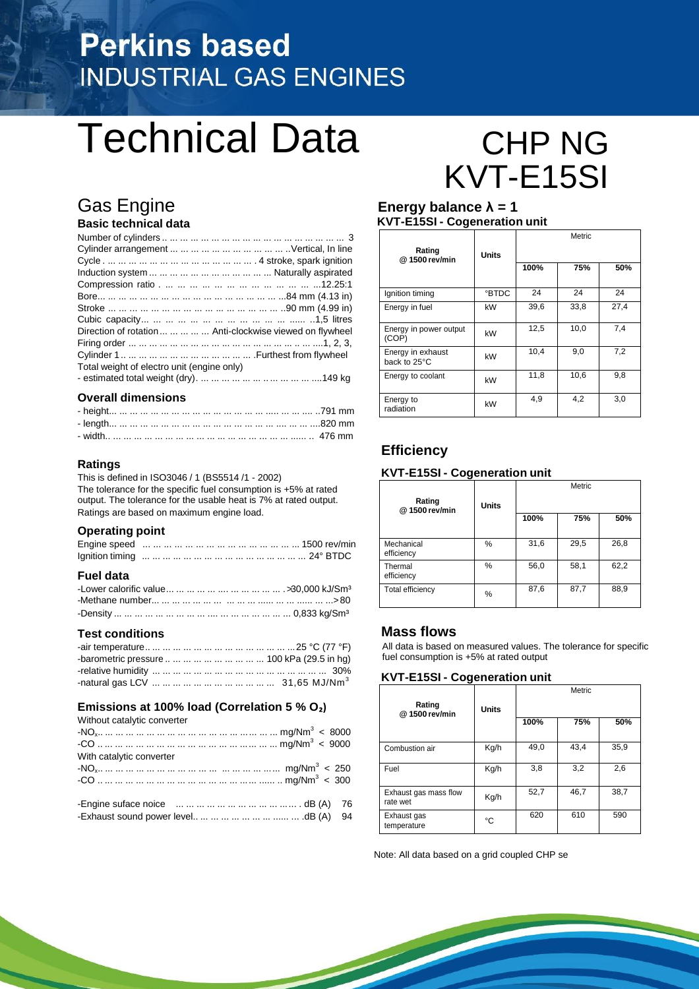## **Perkins based INDUSTRIAL GAS ENGINES**

## Technical Data CHP NG

## Gas Engine **Energy balance λ = 1**

#### **Basic technical data**

| Direction of rotation      Anti-clockwise viewed on flywheel |
|--------------------------------------------------------------|
|                                                              |
|                                                              |
|                                                              |
|                                                              |
|                                                              |

#### **Overall dimensions**

#### **Ratings**

This is defined in ISO3046 / 1 (BS5514 /1 - 2002) The tolerance for the specific fuel consumption is +5% at rated output. The tolerance for the usable heat is 7% at rated output. Ratings are based on maximum engine load.

#### **Operating point**

#### **Fuel data**

#### **Test conditions**

| -barometric pressure          100 kPa (29.5 in hg) |  |
|----------------------------------------------------|--|
|                                                    |  |
|                                                    |  |

#### **Emissions at 100% load (Correlation 5 % O₂)**

| Without catalytic converter |  |
|-----------------------------|--|
|                             |  |
|                             |  |
| With catalytic converter    |  |
|                             |  |
|                             |  |
|                             |  |
|                             |  |

# KVT-E15SI

## **KVT-E15SI - Cogeneration unit**

| Rating<br>@1500 rev/min           | <b>Units</b> | Metric |      |      |
|-----------------------------------|--------------|--------|------|------|
|                                   |              | 100%   | 75%  | 50%  |
| Ignition timing                   | <b>BTDC</b>  | 24     | 24   | 24   |
| Energy in fuel                    | kW           | 39,6   | 33,8 | 27,4 |
| Energy in power output<br>(COP)   | kW           | 12,5   | 10,0 | 7.4  |
| Energy in exhaust<br>back to 25°C | kW           | 10,4   | 9,0  | 7,2  |
| Energy to coolant                 | kW           | 11,8   | 10,6 | 9,8  |
| Energy to<br>radiation            | kW           | 4,9    | 4,2  | 3,0  |

#### **Efficiency**

#### **KVT-E15SI - Cogeneration unit**

| Rating<br>@1500 rev/min  | <b>Units</b> | Metric |      |      |
|--------------------------|--------------|--------|------|------|
|                          |              | 100%   | 75%  | 50%  |
| Mechanical<br>efficiency | %            | 31,6   | 29,5 | 26,8 |
| Thermal<br>efficiency    | %            | 56,0   | 58,1 | 62,2 |
| Total efficiency         | %            | 87,6   | 87,7 | 88,9 |

#### **Mass flows**

All data is based on measured values. The tolerance for specific fuel consumption is +5% at rated output

#### **KVT-E15SI - Cogeneration unit**

| Rating                            | <b>Units</b> | Metric |      |      |
|-----------------------------------|--------------|--------|------|------|
| @1500 rev/min                     |              | 100%   | 75%  | 50%  |
| Combustion air                    | Kg/h         | 49,0   | 43,4 | 35,9 |
| Fuel                              | Kg/h         | 3,8    | 3,2  | 2,6  |
| Exhaust gas mass flow<br>rate wet | Kg/h         | 52,7   | 46,7 | 38,7 |
| Exhaust gas<br>temperature        | °C           | 620    | 610  | 590  |

Note: All data based on a grid coupled CHP se